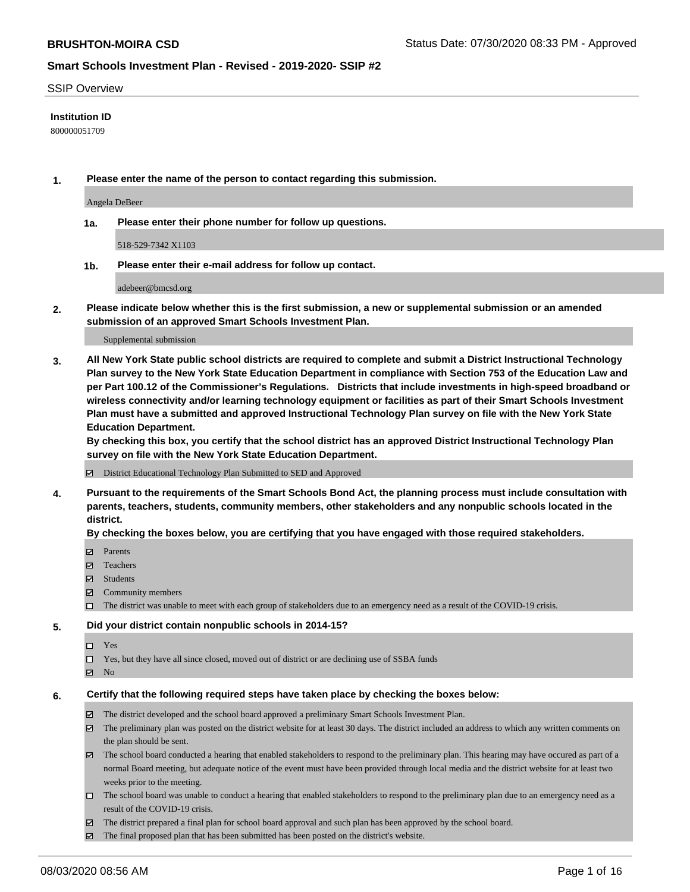#### SSIP Overview

### **Institution ID**

800000051709

**1. Please enter the name of the person to contact regarding this submission.**

Angela DeBeer

**1a. Please enter their phone number for follow up questions.**

518-529-7342 X1103

**1b. Please enter their e-mail address for follow up contact.**

adebeer@bmcsd.org

**2. Please indicate below whether this is the first submission, a new or supplemental submission or an amended submission of an approved Smart Schools Investment Plan.**

#### Supplemental submission

**3. All New York State public school districts are required to complete and submit a District Instructional Technology Plan survey to the New York State Education Department in compliance with Section 753 of the Education Law and per Part 100.12 of the Commissioner's Regulations. Districts that include investments in high-speed broadband or wireless connectivity and/or learning technology equipment or facilities as part of their Smart Schools Investment Plan must have a submitted and approved Instructional Technology Plan survey on file with the New York State Education Department.** 

**By checking this box, you certify that the school district has an approved District Instructional Technology Plan survey on file with the New York State Education Department.**

District Educational Technology Plan Submitted to SED and Approved

**4. Pursuant to the requirements of the Smart Schools Bond Act, the planning process must include consultation with parents, teachers, students, community members, other stakeholders and any nonpublic schools located in the district.** 

#### **By checking the boxes below, you are certifying that you have engaged with those required stakeholders.**

- **□** Parents
- Teachers
- Students
- $\boxtimes$  Community members
- The district was unable to meet with each group of stakeholders due to an emergency need as a result of the COVID-19 crisis.

#### **5. Did your district contain nonpublic schools in 2014-15?**

- $\neg$  Yes
- Yes, but they have all since closed, moved out of district or are declining use of SSBA funds
- **Z** No

#### **6. Certify that the following required steps have taken place by checking the boxes below:**

- The district developed and the school board approved a preliminary Smart Schools Investment Plan.
- $\boxtimes$  The preliminary plan was posted on the district website for at least 30 days. The district included an address to which any written comments on the plan should be sent.
- The school board conducted a hearing that enabled stakeholders to respond to the preliminary plan. This hearing may have occured as part of a normal Board meeting, but adequate notice of the event must have been provided through local media and the district website for at least two weeks prior to the meeting.
- The school board was unable to conduct a hearing that enabled stakeholders to respond to the preliminary plan due to an emergency need as a result of the COVID-19 crisis.
- The district prepared a final plan for school board approval and such plan has been approved by the school board.
- $\boxtimes$  The final proposed plan that has been submitted has been posted on the district's website.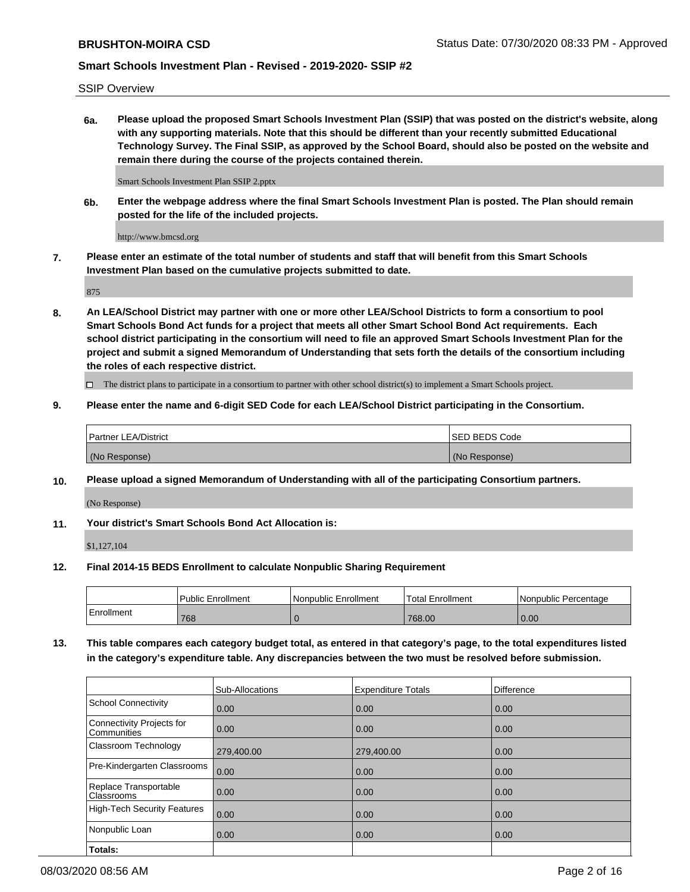SSIP Overview

**6a. Please upload the proposed Smart Schools Investment Plan (SSIP) that was posted on the district's website, along with any supporting materials. Note that this should be different than your recently submitted Educational Technology Survey. The Final SSIP, as approved by the School Board, should also be posted on the website and remain there during the course of the projects contained therein.**

Smart Schools Investment Plan SSIP 2.pptx

**6b. Enter the webpage address where the final Smart Schools Investment Plan is posted. The Plan should remain posted for the life of the included projects.**

http://www.bmcsd.org

**7. Please enter an estimate of the total number of students and staff that will benefit from this Smart Schools Investment Plan based on the cumulative projects submitted to date.**

875

**8. An LEA/School District may partner with one or more other LEA/School Districts to form a consortium to pool Smart Schools Bond Act funds for a project that meets all other Smart School Bond Act requirements. Each school district participating in the consortium will need to file an approved Smart Schools Investment Plan for the project and submit a signed Memorandum of Understanding that sets forth the details of the consortium including the roles of each respective district.**

 $\Box$  The district plans to participate in a consortium to partner with other school district(s) to implement a Smart Schools project.

### **9. Please enter the name and 6-digit SED Code for each LEA/School District participating in the Consortium.**

| Partner LEA/District | <b>ISED BEDS Code</b> |
|----------------------|-----------------------|
| (No Response)        | (No Response)         |

### **10. Please upload a signed Memorandum of Understanding with all of the participating Consortium partners.**

(No Response)

### **11. Your district's Smart Schools Bond Act Allocation is:**

\$1,127,104

#### **12. Final 2014-15 BEDS Enrollment to calculate Nonpublic Sharing Requirement**

|            | Public Enrollment | Nonpublic Enrollment | Total Enrollment | INonpublic Percentage |
|------------|-------------------|----------------------|------------------|-----------------------|
| Enrollment | 768               |                      | 768.00           | 0.00                  |

**13. This table compares each category budget total, as entered in that category's page, to the total expenditures listed in the category's expenditure table. Any discrepancies between the two must be resolved before submission.**

|                                          | Sub-Allocations | <b>Expenditure Totals</b> | <b>Difference</b> |
|------------------------------------------|-----------------|---------------------------|-------------------|
| <b>School Connectivity</b>               | 0.00            | 0.00                      | 0.00              |
| Connectivity Projects for<br>Communities | 0.00            | 0.00                      | 0.00              |
| Classroom Technology                     | 279,400.00      | 279,400.00                | 0.00              |
| Pre-Kindergarten Classrooms              | 0.00            | 0.00                      | 0.00              |
| Replace Transportable<br>Classrooms      | 0.00            | 0.00                      | 0.00              |
| High-Tech Security Features              | 0.00            | 0.00                      | 0.00              |
| Nonpublic Loan                           | 0.00            | 0.00                      | 0.00              |
| Totals:                                  |                 |                           |                   |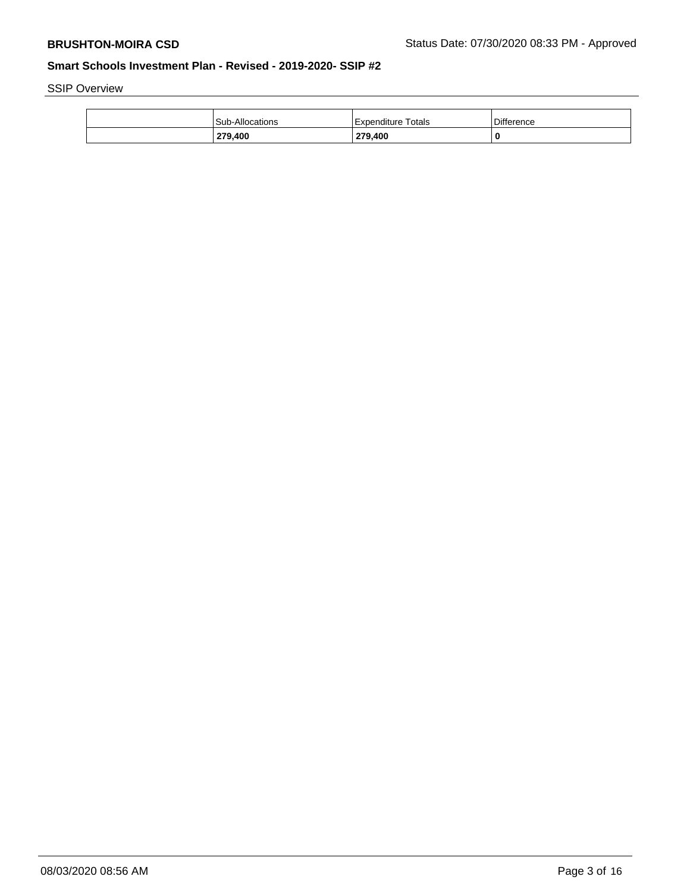SSIP Overview

| 279,400         | 279,400                 | 0                 |
|-----------------|-------------------------|-------------------|
| Sub-Allocations | Totals<br>l Expenditure | <b>Difference</b> |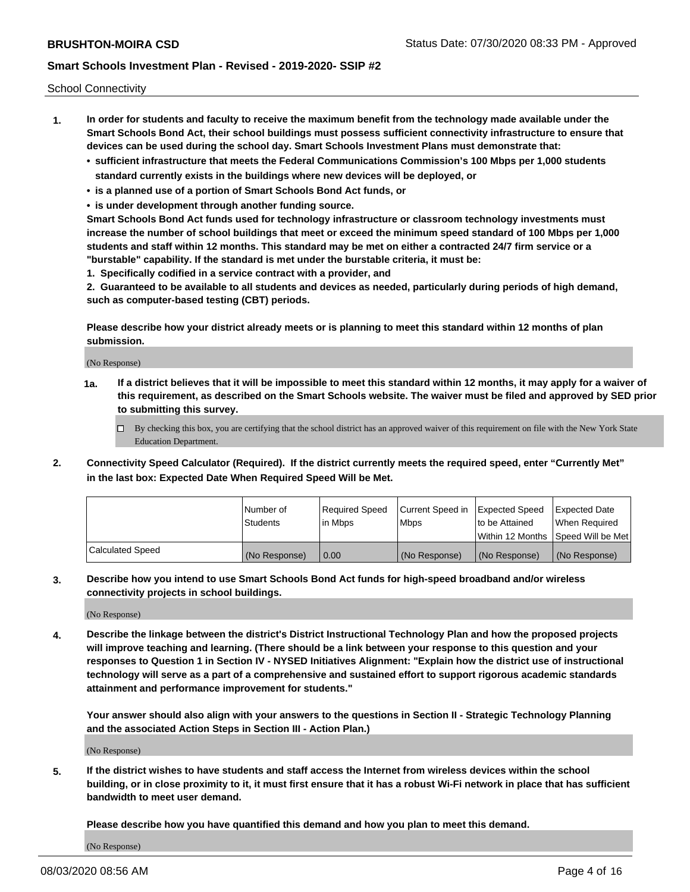School Connectivity

- **1. In order for students and faculty to receive the maximum benefit from the technology made available under the Smart Schools Bond Act, their school buildings must possess sufficient connectivity infrastructure to ensure that devices can be used during the school day. Smart Schools Investment Plans must demonstrate that:**
	- **• sufficient infrastructure that meets the Federal Communications Commission's 100 Mbps per 1,000 students standard currently exists in the buildings where new devices will be deployed, or**
	- **• is a planned use of a portion of Smart Schools Bond Act funds, or**
	- **• is under development through another funding source.**

**Smart Schools Bond Act funds used for technology infrastructure or classroom technology investments must increase the number of school buildings that meet or exceed the minimum speed standard of 100 Mbps per 1,000 students and staff within 12 months. This standard may be met on either a contracted 24/7 firm service or a "burstable" capability. If the standard is met under the burstable criteria, it must be:**

**1. Specifically codified in a service contract with a provider, and**

**2. Guaranteed to be available to all students and devices as needed, particularly during periods of high demand, such as computer-based testing (CBT) periods.**

**Please describe how your district already meets or is planning to meet this standard within 12 months of plan submission.**

(No Response)

**1a. If a district believes that it will be impossible to meet this standard within 12 months, it may apply for a waiver of this requirement, as described on the Smart Schools website. The waiver must be filed and approved by SED prior to submitting this survey.**

 $\Box$  By checking this box, you are certifying that the school district has an approved waiver of this requirement on file with the New York State Education Department.

**2. Connectivity Speed Calculator (Required). If the district currently meets the required speed, enter "Currently Met" in the last box: Expected Date When Required Speed Will be Met.**

|                  | l Number of   | Required Speed | Current Speed in | Expected Speed  | Expected Date                           |
|------------------|---------------|----------------|------------------|-----------------|-----------------------------------------|
|                  | Students      | In Mbps        | l Mbps           | to be Attained  | When Required                           |
|                  |               |                |                  |                 | l Within 12 Months ISpeed Will be Met l |
| Calculated Speed | (No Response) | 0.00           | (No Response)    | l (No Response) | l (No Response)                         |

**3. Describe how you intend to use Smart Schools Bond Act funds for high-speed broadband and/or wireless connectivity projects in school buildings.**

(No Response)

**4. Describe the linkage between the district's District Instructional Technology Plan and how the proposed projects will improve teaching and learning. (There should be a link between your response to this question and your responses to Question 1 in Section IV - NYSED Initiatives Alignment: "Explain how the district use of instructional technology will serve as a part of a comprehensive and sustained effort to support rigorous academic standards attainment and performance improvement for students."** 

**Your answer should also align with your answers to the questions in Section II - Strategic Technology Planning and the associated Action Steps in Section III - Action Plan.)**

(No Response)

**5. If the district wishes to have students and staff access the Internet from wireless devices within the school building, or in close proximity to it, it must first ensure that it has a robust Wi-Fi network in place that has sufficient bandwidth to meet user demand.**

**Please describe how you have quantified this demand and how you plan to meet this demand.**

(No Response)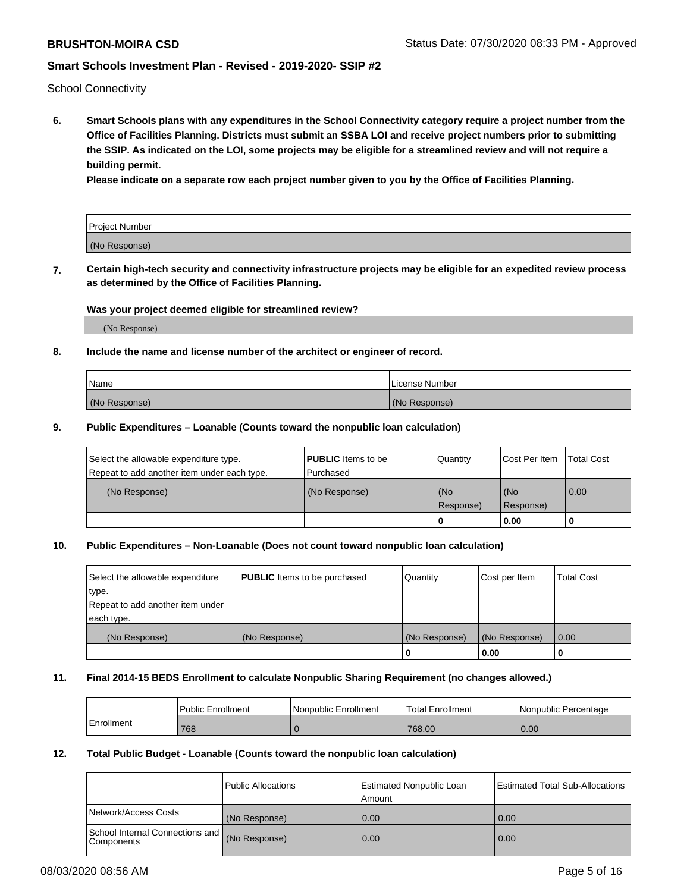School Connectivity

**6. Smart Schools plans with any expenditures in the School Connectivity category require a project number from the Office of Facilities Planning. Districts must submit an SSBA LOI and receive project numbers prior to submitting the SSIP. As indicated on the LOI, some projects may be eligible for a streamlined review and will not require a building permit.**

**Please indicate on a separate row each project number given to you by the Office of Facilities Planning.**

| Project Number |  |
|----------------|--|
| (No Response)  |  |

**7. Certain high-tech security and connectivity infrastructure projects may be eligible for an expedited review process as determined by the Office of Facilities Planning.**

#### **Was your project deemed eligible for streamlined review?**

(No Response)

### **8. Include the name and license number of the architect or engineer of record.**

| Name          | License Number |
|---------------|----------------|
| (No Response) | (No Response)  |

### **9. Public Expenditures – Loanable (Counts toward the nonpublic loan calculation)**

| Select the allowable expenditure type.<br>Repeat to add another item under each type. | <b>PUBLIC</b> Items to be<br>l Purchased | Quantity           | Cost Per Item    | <b>Total Cost</b> |
|---------------------------------------------------------------------------------------|------------------------------------------|--------------------|------------------|-------------------|
| (No Response)                                                                         | (No Response)                            | l (No<br>Response) | (No<br>Response) | $\overline{0.00}$ |
|                                                                                       |                                          | O                  | 0.00             |                   |

## **10. Public Expenditures – Non-Loanable (Does not count toward nonpublic loan calculation)**

| Select the allowable expenditure<br>type.<br>Repeat to add another item under<br>each type. | <b>PUBLIC</b> Items to be purchased | Quantity      | Cost per Item | <b>Total Cost</b> |
|---------------------------------------------------------------------------------------------|-------------------------------------|---------------|---------------|-------------------|
| (No Response)                                                                               | (No Response)                       | (No Response) | (No Response) | 0.00              |
|                                                                                             |                                     |               | 0.00          |                   |

#### **11. Final 2014-15 BEDS Enrollment to calculate Nonpublic Sharing Requirement (no changes allowed.)**

|            | l Public Enrollment | Nonpublic Enrollment | <b>Total Enrollment</b> | l Nonpublic Percentage |
|------------|---------------------|----------------------|-------------------------|------------------------|
| Enrollment | 768                 |                      | 768.00                  | 0.00                   |

### **12. Total Public Budget - Loanable (Counts toward the nonpublic loan calculation)**

|                                                      | Public Allocations | <b>Estimated Nonpublic Loan</b><br>Amount | Estimated Total Sub-Allocations |
|------------------------------------------------------|--------------------|-------------------------------------------|---------------------------------|
| Network/Access Costs                                 | (No Response)      | 0.00                                      | 0.00                            |
| School Internal Connections and<br><b>Components</b> | (No Response)      | 0.00                                      | 0.00                            |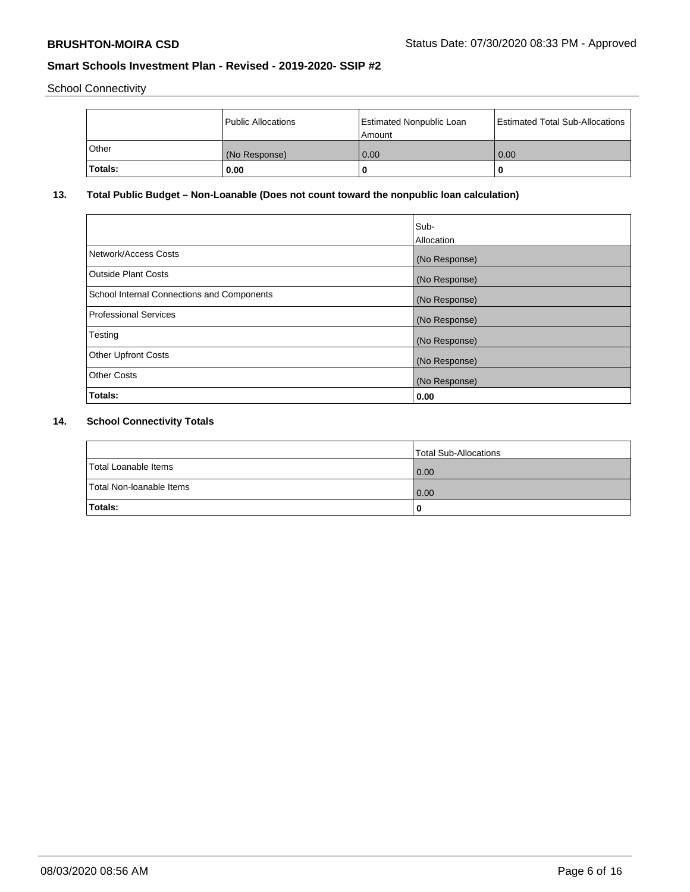School Connectivity

|                | Public Allocations | <b>Estimated Nonpublic Loan</b><br>l Amount | <b>Estimated Total Sub-Allocations</b> |
|----------------|--------------------|---------------------------------------------|----------------------------------------|
| <b>Other</b>   | (No Response)      | 0.00                                        | 0.00                                   |
| <b>Totals:</b> | 0.00               | 0                                           |                                        |

# **13. Total Public Budget – Non-Loanable (Does not count toward the nonpublic loan calculation)**

| Sub-<br>Allocation |
|--------------------|
| (No Response)      |
| (No Response)      |
| (No Response)      |
| (No Response)      |
| (No Response)      |
| (No Response)      |
| (No Response)      |
| 0.00               |
|                    |

# **14. School Connectivity Totals**

|                          | Total Sub-Allocations |
|--------------------------|-----------------------|
| Total Loanable Items     | 0.00                  |
| Total Non-Ioanable Items | 0.00                  |
| Totals:                  | 0                     |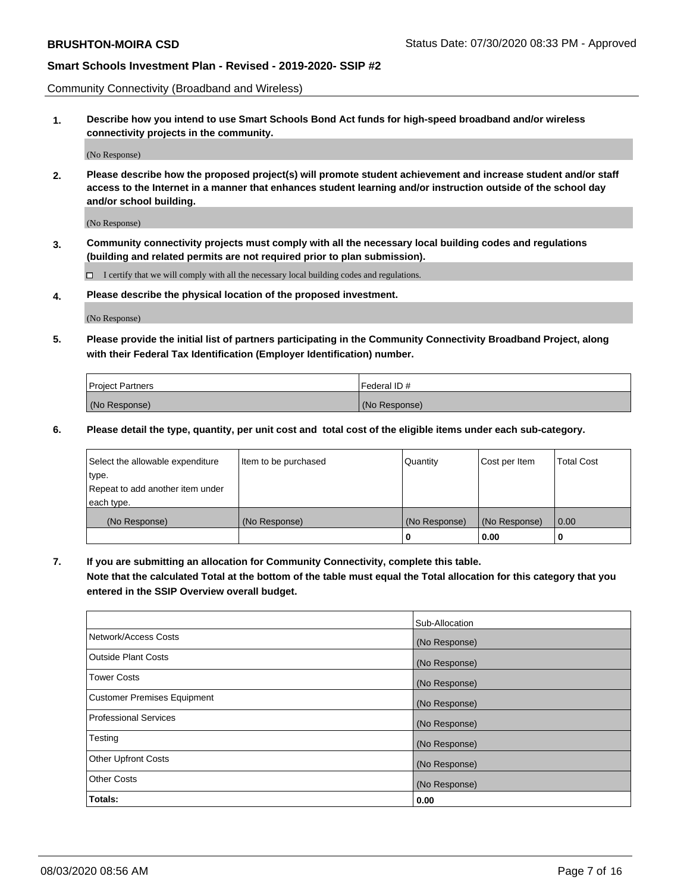Community Connectivity (Broadband and Wireless)

**1. Describe how you intend to use Smart Schools Bond Act funds for high-speed broadband and/or wireless connectivity projects in the community.**

(No Response)

**2. Please describe how the proposed project(s) will promote student achievement and increase student and/or staff access to the Internet in a manner that enhances student learning and/or instruction outside of the school day and/or school building.**

(No Response)

**3. Community connectivity projects must comply with all the necessary local building codes and regulations (building and related permits are not required prior to plan submission).**

 $\Box$  I certify that we will comply with all the necessary local building codes and regulations.

**4. Please describe the physical location of the proposed investment.**

(No Response)

**5. Please provide the initial list of partners participating in the Community Connectivity Broadband Project, along with their Federal Tax Identification (Employer Identification) number.**

| <b>Project Partners</b> | l Federal ID # |
|-------------------------|----------------|
| (No Response)           | (No Response)  |

**6. Please detail the type, quantity, per unit cost and total cost of the eligible items under each sub-category.**

| Select the allowable expenditure | Item to be purchased | Quantity      | Cost per Item | <b>Total Cost</b> |
|----------------------------------|----------------------|---------------|---------------|-------------------|
| type.                            |                      |               |               |                   |
| Repeat to add another item under |                      |               |               |                   |
| each type.                       |                      |               |               |                   |
| (No Response)                    | (No Response)        | (No Response) | (No Response) | 0.00              |
|                                  |                      | U             | 0.00          |                   |

**7. If you are submitting an allocation for Community Connectivity, complete this table.**

**Note that the calculated Total at the bottom of the table must equal the Total allocation for this category that you entered in the SSIP Overview overall budget.**

|                                    | Sub-Allocation |
|------------------------------------|----------------|
| Network/Access Costs               | (No Response)  |
| Outside Plant Costs                | (No Response)  |
| <b>Tower Costs</b>                 | (No Response)  |
| <b>Customer Premises Equipment</b> | (No Response)  |
| <b>Professional Services</b>       | (No Response)  |
| Testing                            | (No Response)  |
| <b>Other Upfront Costs</b>         | (No Response)  |
| <b>Other Costs</b>                 | (No Response)  |
| Totals:                            | 0.00           |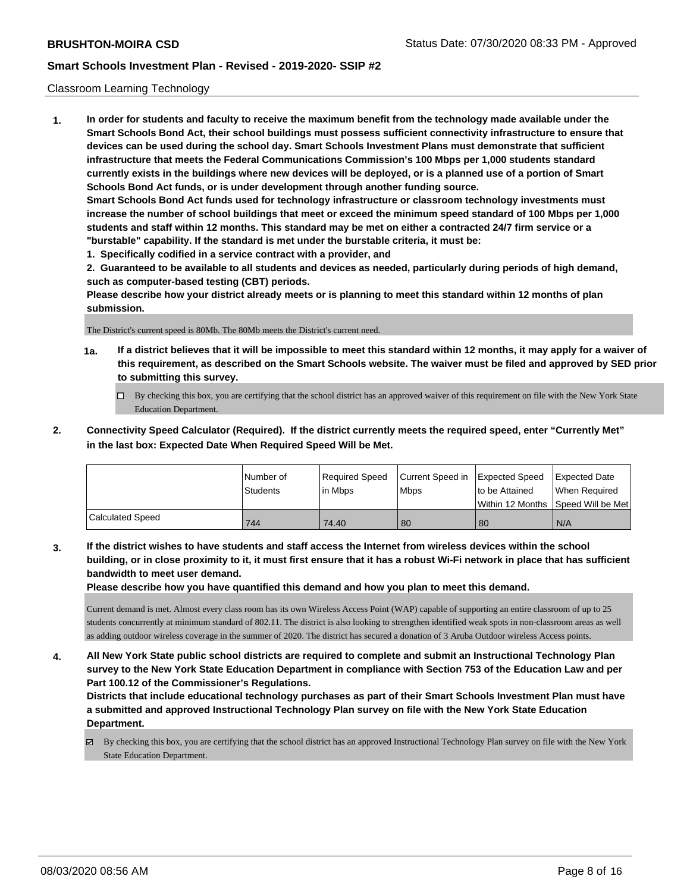#### Classroom Learning Technology

**1. In order for students and faculty to receive the maximum benefit from the technology made available under the Smart Schools Bond Act, their school buildings must possess sufficient connectivity infrastructure to ensure that devices can be used during the school day. Smart Schools Investment Plans must demonstrate that sufficient infrastructure that meets the Federal Communications Commission's 100 Mbps per 1,000 students standard currently exists in the buildings where new devices will be deployed, or is a planned use of a portion of Smart Schools Bond Act funds, or is under development through another funding source. Smart Schools Bond Act funds used for technology infrastructure or classroom technology investments must increase the number of school buildings that meet or exceed the minimum speed standard of 100 Mbps per 1,000 students and staff within 12 months. This standard may be met on either a contracted 24/7 firm service or a "burstable" capability. If the standard is met under the burstable criteria, it must be:**

**1. Specifically codified in a service contract with a provider, and**

**2. Guaranteed to be available to all students and devices as needed, particularly during periods of high demand, such as computer-based testing (CBT) periods.**

**Please describe how your district already meets or is planning to meet this standard within 12 months of plan submission.**

The District's current speed is 80Mb. The 80Mb meets the District's current need.

- **1a. If a district believes that it will be impossible to meet this standard within 12 months, it may apply for a waiver of this requirement, as described on the Smart Schools website. The waiver must be filed and approved by SED prior to submitting this survey.**
	- By checking this box, you are certifying that the school district has an approved waiver of this requirement on file with the New York State Education Department.
- **2. Connectivity Speed Calculator (Required). If the district currently meets the required speed, enter "Currently Met" in the last box: Expected Date When Required Speed Will be Met.**

|                  | l Number of     | Required Speed | Current Speed in Expected Speed |                | Expected Date                        |
|------------------|-----------------|----------------|---------------------------------|----------------|--------------------------------------|
|                  | <b>Students</b> | l in Mbps      | <b>Mbps</b>                     | to be Attained | When Required                        |
|                  |                 |                |                                 |                | Within 12 Months 1Speed Will be Met1 |
| Calculated Speed | 744             | 74.40          | 80                              | 80             | N/A                                  |

**3. If the district wishes to have students and staff access the Internet from wireless devices within the school building, or in close proximity to it, it must first ensure that it has a robust Wi-Fi network in place that has sufficient bandwidth to meet user demand.**

**Please describe how you have quantified this demand and how you plan to meet this demand.**

Current demand is met. Almost every class room has its own Wireless Access Point (WAP) capable of supporting an entire classroom of up to 25 students concurrently at minimum standard of 802.11. The district is also looking to strengthen identified weak spots in non-classroom areas as well as adding outdoor wireless coverage in the summer of 2020. The district has secured a donation of 3 Aruba Outdoor wireless Access points.

**4. All New York State public school districts are required to complete and submit an Instructional Technology Plan survey to the New York State Education Department in compliance with Section 753 of the Education Law and per Part 100.12 of the Commissioner's Regulations.**

**Districts that include educational technology purchases as part of their Smart Schools Investment Plan must have a submitted and approved Instructional Technology Plan survey on file with the New York State Education Department.**

By checking this box, you are certifying that the school district has an approved Instructional Technology Plan survey on file with the New York State Education Department.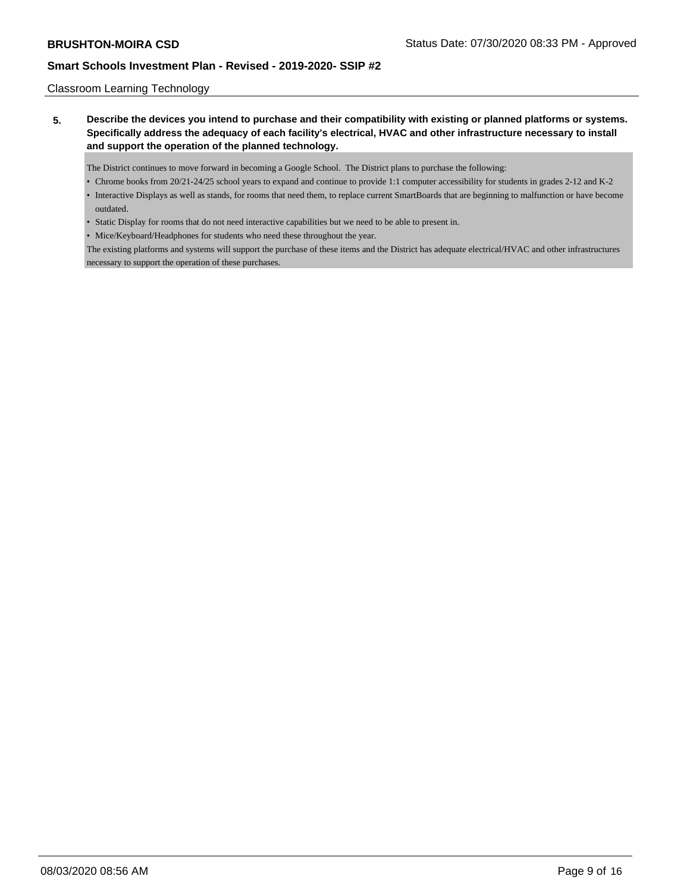### Classroom Learning Technology

**5. Describe the devices you intend to purchase and their compatibility with existing or planned platforms or systems. Specifically address the adequacy of each facility's electrical, HVAC and other infrastructure necessary to install and support the operation of the planned technology.**

The District continues to move forward in becoming a Google School. The District plans to purchase the following:

- Chrome books from 20/21-24/25 school years to expand and continue to provide 1:1 computer accessibility for students in grades 2-12 and K-2
- Interactive Displays as well as stands, for rooms that need them, to replace current SmartBoards that are beginning to malfunction or have become outdated.
- Static Display for rooms that do not need interactive capabilities but we need to be able to present in.
- Mice/Keyboard/Headphones for students who need these throughout the year.

The existing platforms and systems will support the purchase of these items and the District has adequate electrical/HVAC and other infrastructures necessary to support the operation of these purchases.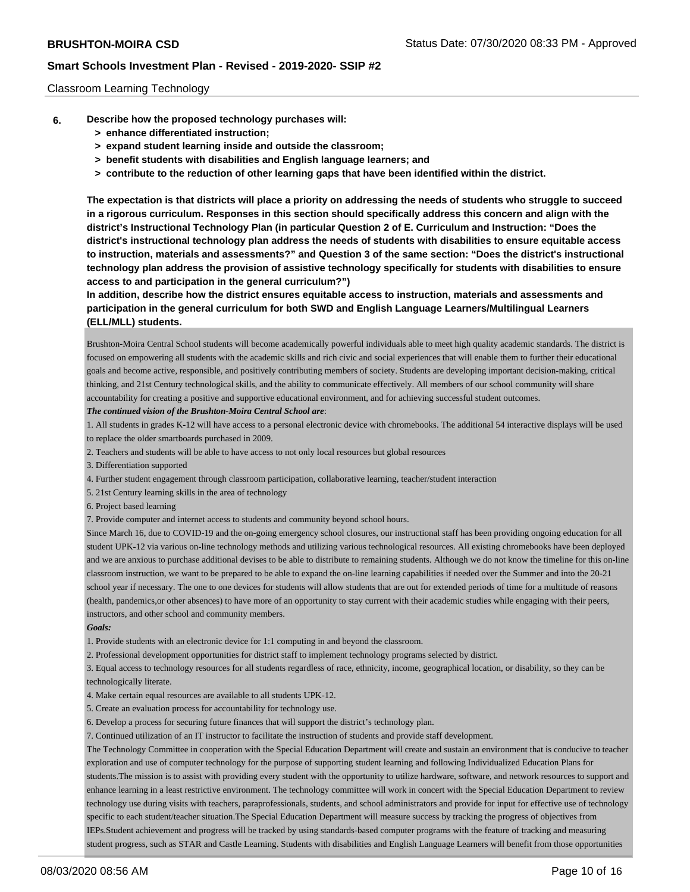#### Classroom Learning Technology

- **6. Describe how the proposed technology purchases will:**
	- **> enhance differentiated instruction;**
	- **> expand student learning inside and outside the classroom;**
	- **> benefit students with disabilities and English language learners; and**
	- **> contribute to the reduction of other learning gaps that have been identified within the district.**

**The expectation is that districts will place a priority on addressing the needs of students who struggle to succeed in a rigorous curriculum. Responses in this section should specifically address this concern and align with the district's Instructional Technology Plan (in particular Question 2 of E. Curriculum and Instruction: "Does the district's instructional technology plan address the needs of students with disabilities to ensure equitable access to instruction, materials and assessments?" and Question 3 of the same section: "Does the district's instructional technology plan address the provision of assistive technology specifically for students with disabilities to ensure access to and participation in the general curriculum?")**

**In addition, describe how the district ensures equitable access to instruction, materials and assessments and participation in the general curriculum for both SWD and English Language Learners/Multilingual Learners (ELL/MLL) students.**

Brushton-Moira Central School students will become academically powerful individuals able to meet high quality academic standards. The district is focused on empowering all students with the academic skills and rich civic and social experiences that will enable them to further their educational goals and become active, responsible, and positively contributing members of society. Students are developing important decision-making, critical thinking, and 21st Century technological skills, and the ability to communicate effectively. All members of our school community will share accountability for creating a positive and supportive educational environment, and for achieving successful student outcomes.

#### *The continued vision of the Brushton-Moira Central School are*:

1. All students in grades K-12 will have access to a personal electronic device with chromebooks. The additional 54 interactive displays will be used to replace the older smartboards purchased in 2009.

- 2. Teachers and students will be able to have access to not only local resources but global resources
- 3. Differentiation supported
- 4. Further student engagement through classroom participation, collaborative learning, teacher/student interaction
- 5. 21st Century learning skills in the area of technology
- 6. Project based learning

7. Provide computer and internet access to students and community beyond school hours.

Since March 16, due to COVID-19 and the on-going emergency school closures, our instructional staff has been providing ongoing education for all student UPK-12 via various on-line technology methods and utilizing various technological resources. All existing chromebooks have been deployed and we are anxious to purchase additional devises to be able to distribute to remaining students. Although we do not know the timeline for this on-line classroom instruction, we want to be prepared to be able to expand the on-line learning capabilities if needed over the Summer and into the 20-21 school year if necessary. The one to one devices for students will allow students that are out for extended periods of time for a multitude of reasons (health, pandemics,or other absences) to have more of an opportunity to stay current with their academic studies while engaging with their peers, instructors, and other school and community members.

#### *Goals:*

1. Provide students with an electronic device for 1:1 computing in and beyond the classroom.

2. Professional development opportunities for district staff to implement technology programs selected by district.

3. Equal access to technology resources for all students regardless of race, ethnicity, income, geographical location, or disability, so they can be technologically literate.

4. Make certain equal resources are available to all students UPK-12.

5. Create an evaluation process for accountability for technology use.

6. Develop a process for securing future finances that will support the district's technology plan.

7. Continued utilization of an IT instructor to facilitate the instruction of students and provide staff development.

The Technology Committee in cooperation with the Special Education Department will create and sustain an environment that is conducive to teacher exploration and use of computer technology for the purpose of supporting student learning and following Individualized Education Plans for students.The mission is to assist with providing every student with the opportunity to utilize hardware, software, and network resources to support and enhance learning in a least restrictive environment. The technology committee will work in concert with the Special Education Department to review technology use during visits with teachers, paraprofessionals, students, and school administrators and provide for input for effective use of technology specific to each student/teacher situation.The Special Education Department will measure success by tracking the progress of objectives from IEPs.Student achievement and progress will be tracked by using standards-based computer programs with the feature of tracking and measuring student progress, such as STAR and Castle Learning. Students with disabilities and English Language Learners will benefit from those opportunities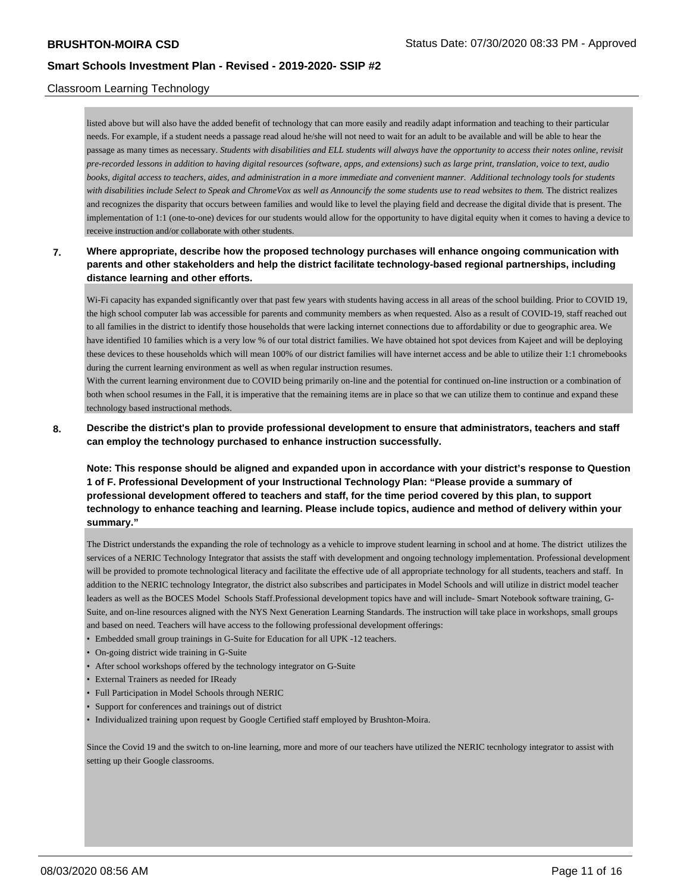## Classroom Learning Technology

listed above but will also have the added benefit of technology that can more easily and readily adapt information and teaching to their particular needs. For example, if a student needs a passage read aloud he/she will not need to wait for an adult to be available and will be able to hear the passage as many times as necessary. *Students with disabilities and ELL students will always have the opportunity to access their notes online, revisit pre-recorded lessons in addition to having digital resources (software, apps, and extensions) such as large print, translation, voice to text, audio books, digital access to teachers, aides, and administration in a more immediate and convenient manner. Additional technology tools for students with disabilities include Select to Speak and ChromeVox as well as Announcify the some students use to read websites to them.* The district realizes and recognizes the disparity that occurs between families and would like to level the playing field and decrease the digital divide that is present. The implementation of 1:1 (one-to-one) devices for our students would allow for the opportunity to have digital equity when it comes to having a device to receive instruction and/or collaborate with other students.

## **7. Where appropriate, describe how the proposed technology purchases will enhance ongoing communication with parents and other stakeholders and help the district facilitate technology-based regional partnerships, including distance learning and other efforts.**

Wi-Fi capacity has expanded significantly over that past few years with students having access in all areas of the school building. Prior to COVID 19, the high school computer lab was accessible for parents and community members as when requested. Also as a result of COVID-19, staff reached out to all families in the district to identify those households that were lacking internet connections due to affordability or due to geographic area. We have identified 10 families which is a very low % of our total district families. We have obtained hot spot devices from Kajeet and will be deploying these devices to these households which will mean 100% of our district families will have internet access and be able to utilize their 1:1 chromebooks during the current learning environment as well as when regular instruction resumes.

With the current learning environment due to COVID being primarily on-line and the potential for continued on-line instruction or a combination of both when school resumes in the Fall, it is imperative that the remaining items are in place so that we can utilize them to continue and expand these technology based instructional methods.

## **8. Describe the district's plan to provide professional development to ensure that administrators, teachers and staff can employ the technology purchased to enhance instruction successfully.**

**Note: This response should be aligned and expanded upon in accordance with your district's response to Question 1 of F. Professional Development of your Instructional Technology Plan: "Please provide a summary of professional development offered to teachers and staff, for the time period covered by this plan, to support technology to enhance teaching and learning. Please include topics, audience and method of delivery within your summary."**

The District understands the expanding the role of technology as a vehicle to improve student learning in school and at home. The district utilizes the services of a NERIC Technology Integrator that assists the staff with development and ongoing technology implementation. Professional development will be provided to promote technological literacy and facilitate the effective ude of all appropriate technology for all students, teachers and staff. In addition to the NERIC technology Integrator, the district also subscribes and participates in Model Schools and will utilize in district model teacher leaders as well as the BOCES Model Schools Staff.Professional development topics have and will include- Smart Notebook software training, G-Suite, and on-line resources aligned with the NYS Next Generation Learning Standards. The instruction will take place in workshops, small groups and based on need. Teachers will have access to the following professional development offerings:

- Embedded small group trainings in G-Suite for Education for all UPK -12 teachers.
- On-going district wide training in G-Suite
- After school workshops offered by the technology integrator on G-Suite
- External Trainers as needed for IReady
- Full Participation in Model Schools through NERIC
- Support for conferences and trainings out of district
- Individualized training upon request by Google Certified staff employed by Brushton-Moira.

Since the Covid 19 and the switch to on-line learning, more and more of our teachers have utilized the NERIC tecnhology integrator to assist with setting up their Google classrooms.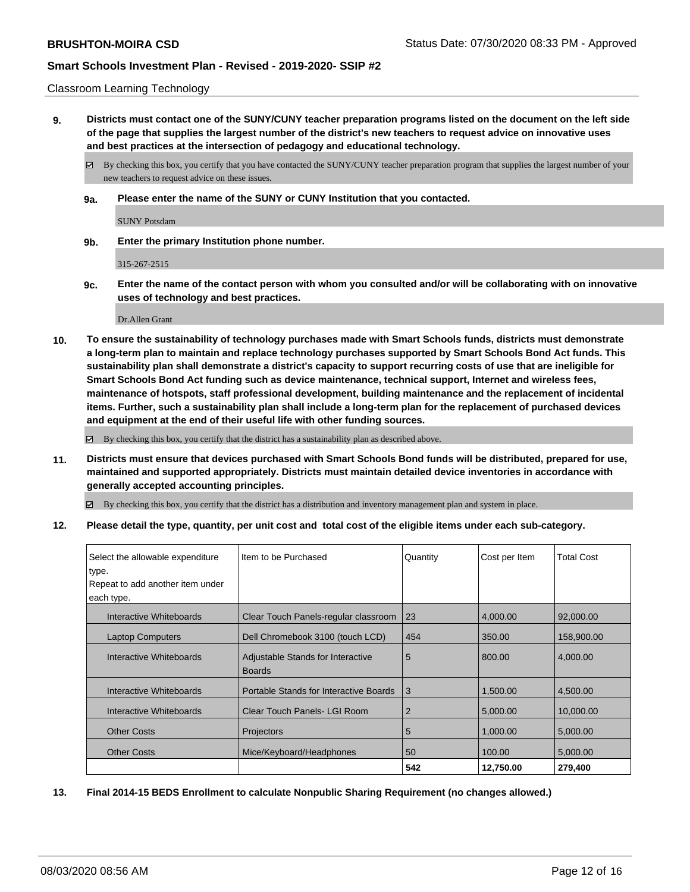#### Classroom Learning Technology

**9. Districts must contact one of the SUNY/CUNY teacher preparation programs listed on the document on the left side of the page that supplies the largest number of the district's new teachers to request advice on innovative uses and best practices at the intersection of pedagogy and educational technology.**

By checking this box, you certify that you have contacted the SUNY/CUNY teacher preparation program that supplies the largest number of your new teachers to request advice on these issues.

**9a. Please enter the name of the SUNY or CUNY Institution that you contacted.**

SUNY Potsdam

**9b. Enter the primary Institution phone number.**

315-267-2515

**9c. Enter the name of the contact person with whom you consulted and/or will be collaborating with on innovative uses of technology and best practices.**

Dr.Allen Grant

**10. To ensure the sustainability of technology purchases made with Smart Schools funds, districts must demonstrate a long-term plan to maintain and replace technology purchases supported by Smart Schools Bond Act funds. This sustainability plan shall demonstrate a district's capacity to support recurring costs of use that are ineligible for Smart Schools Bond Act funding such as device maintenance, technical support, Internet and wireless fees, maintenance of hotspots, staff professional development, building maintenance and the replacement of incidental items. Further, such a sustainability plan shall include a long-term plan for the replacement of purchased devices and equipment at the end of their useful life with other funding sources.**

By checking this box, you certify that the district has a sustainability plan as described above.

**11. Districts must ensure that devices purchased with Smart Schools Bond funds will be distributed, prepared for use, maintained and supported appropriately. Districts must maintain detailed device inventories in accordance with generally accepted accounting principles.**

By checking this box, you certify that the district has a distribution and inventory management plan and system in place.

**12. Please detail the type, quantity, per unit cost and total cost of the eligible items under each sub-category.**

| Select the allowable expenditure<br>type.<br>Repeat to add another item under<br>each type. | Iltem to be Purchased                              | Quantity       | Cost per Item | <b>Total Cost</b> |
|---------------------------------------------------------------------------------------------|----------------------------------------------------|----------------|---------------|-------------------|
| Interactive Whiteboards                                                                     | Clear Touch Panels-regular classroom               | 23             | 4,000.00      | 92,000.00         |
| <b>Laptop Computers</b>                                                                     | Dell Chromebook 3100 (touch LCD)                   | 454            | 350.00        | 158,900.00        |
| Interactive Whiteboards                                                                     | Adjustable Stands for Interactive<br><b>Boards</b> | 5              | 800.00        | 4,000.00          |
| Interactive Whiteboards                                                                     | Portable Stands for Interactive Boards             | 3              | 1,500.00      | 4,500.00          |
| Interactive Whiteboards                                                                     | Clear Touch Panels- LGI Room                       | $\overline{2}$ | 5,000.00      | 10,000.00         |
| <b>Other Costs</b>                                                                          | <b>Projectors</b>                                  | 5              | 1,000.00      | 5,000.00          |
| <b>Other Costs</b>                                                                          | Mice/Keyboard/Headphones                           | 50             | 100.00        | 5,000.00          |
|                                                                                             |                                                    | 542            | 12,750.00     | 279,400           |

**13. Final 2014-15 BEDS Enrollment to calculate Nonpublic Sharing Requirement (no changes allowed.)**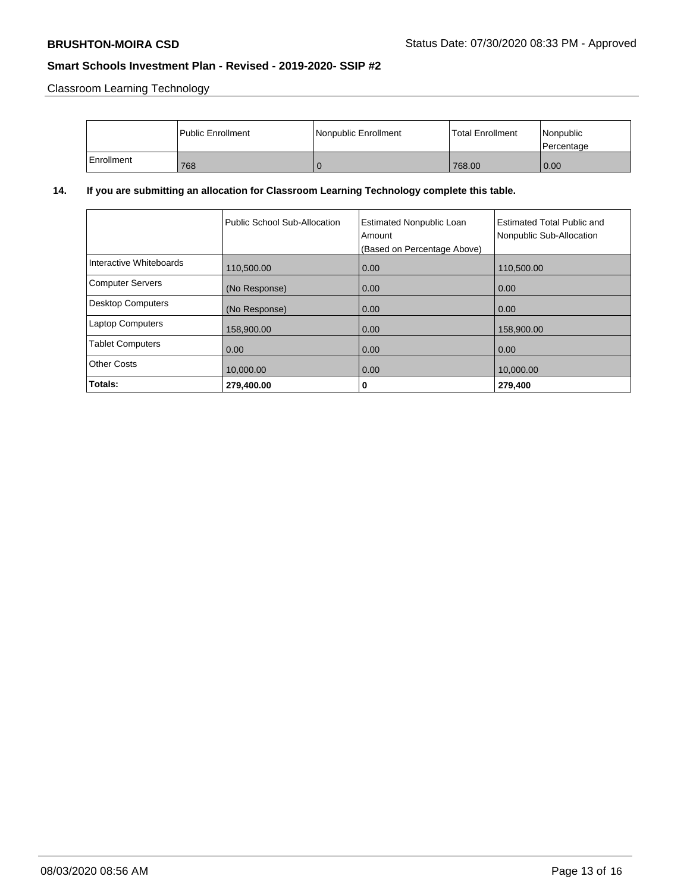Classroom Learning Technology

|            | <b>Public Enrollment</b> | Nonpublic Enrollment | <b>Total Enrollment</b> | Nonpublic<br>l Percentage |
|------------|--------------------------|----------------------|-------------------------|---------------------------|
| Enrollment | 768                      |                      | 768.00                  | $\overline{0.00}$         |

# **14. If you are submitting an allocation for Classroom Learning Technology complete this table.**

|                          | Public School Sub-Allocation | <b>Estimated Nonpublic Loan</b><br>Amount<br>(Based on Percentage Above) | <b>Estimated Total Public and</b><br>Nonpublic Sub-Allocation |
|--------------------------|------------------------------|--------------------------------------------------------------------------|---------------------------------------------------------------|
| Interactive Whiteboards  | 110,500.00                   | 0.00                                                                     | 110,500.00                                                    |
| <b>Computer Servers</b>  | (No Response)                | 0.00                                                                     | 0.00                                                          |
| <b>Desktop Computers</b> | (No Response)                | 0.00                                                                     | 0.00                                                          |
| <b>Laptop Computers</b>  | 158,900.00                   | 0.00                                                                     | 158,900.00                                                    |
| <b>Tablet Computers</b>  | 0.00                         | 0.00                                                                     | 0.00                                                          |
| <b>Other Costs</b>       | 10,000.00                    | 0.00                                                                     | 10,000.00                                                     |
| Totals:                  | 279,400.00                   | 0                                                                        | 279,400                                                       |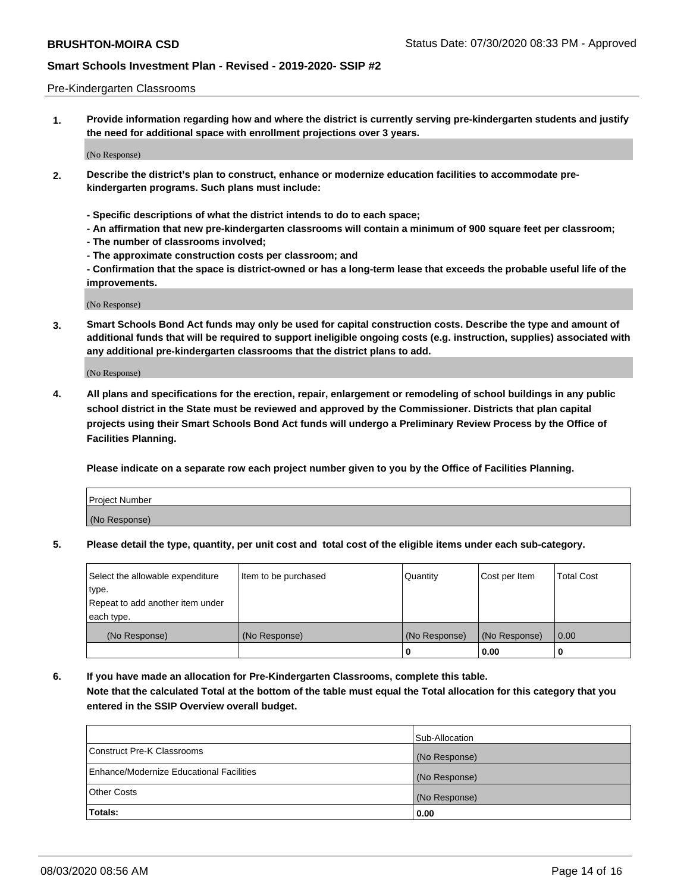#### Pre-Kindergarten Classrooms

**1. Provide information regarding how and where the district is currently serving pre-kindergarten students and justify the need for additional space with enrollment projections over 3 years.**

(No Response)

- **2. Describe the district's plan to construct, enhance or modernize education facilities to accommodate prekindergarten programs. Such plans must include:**
	- **Specific descriptions of what the district intends to do to each space;**
	- **An affirmation that new pre-kindergarten classrooms will contain a minimum of 900 square feet per classroom;**
	- **The number of classrooms involved;**
	- **The approximate construction costs per classroom; and**
	- **Confirmation that the space is district-owned or has a long-term lease that exceeds the probable useful life of the improvements.**

(No Response)

**3. Smart Schools Bond Act funds may only be used for capital construction costs. Describe the type and amount of additional funds that will be required to support ineligible ongoing costs (e.g. instruction, supplies) associated with any additional pre-kindergarten classrooms that the district plans to add.**

(No Response)

**4. All plans and specifications for the erection, repair, enlargement or remodeling of school buildings in any public school district in the State must be reviewed and approved by the Commissioner. Districts that plan capital projects using their Smart Schools Bond Act funds will undergo a Preliminary Review Process by the Office of Facilities Planning.**

**Please indicate on a separate row each project number given to you by the Office of Facilities Planning.**

| Project Number |  |
|----------------|--|
| (No Response)  |  |
|                |  |

**5. Please detail the type, quantity, per unit cost and total cost of the eligible items under each sub-category.**

| Select the allowable expenditure | Item to be purchased | Quantity      | Cost per Item | <b>Total Cost</b> |
|----------------------------------|----------------------|---------------|---------------|-------------------|
| type.                            |                      |               |               |                   |
| Repeat to add another item under |                      |               |               |                   |
| each type.                       |                      |               |               |                   |
| (No Response)                    | (No Response)        | (No Response) | (No Response) | 0.00              |
|                                  |                      | U             | 0.00          |                   |

**6. If you have made an allocation for Pre-Kindergarten Classrooms, complete this table. Note that the calculated Total at the bottom of the table must equal the Total allocation for this category that you entered in the SSIP Overview overall budget.**

|                                          | Sub-Allocation |
|------------------------------------------|----------------|
| Construct Pre-K Classrooms               | (No Response)  |
| Enhance/Modernize Educational Facilities | (No Response)  |
| <b>Other Costs</b>                       | (No Response)  |
| Totals:                                  | 0.00           |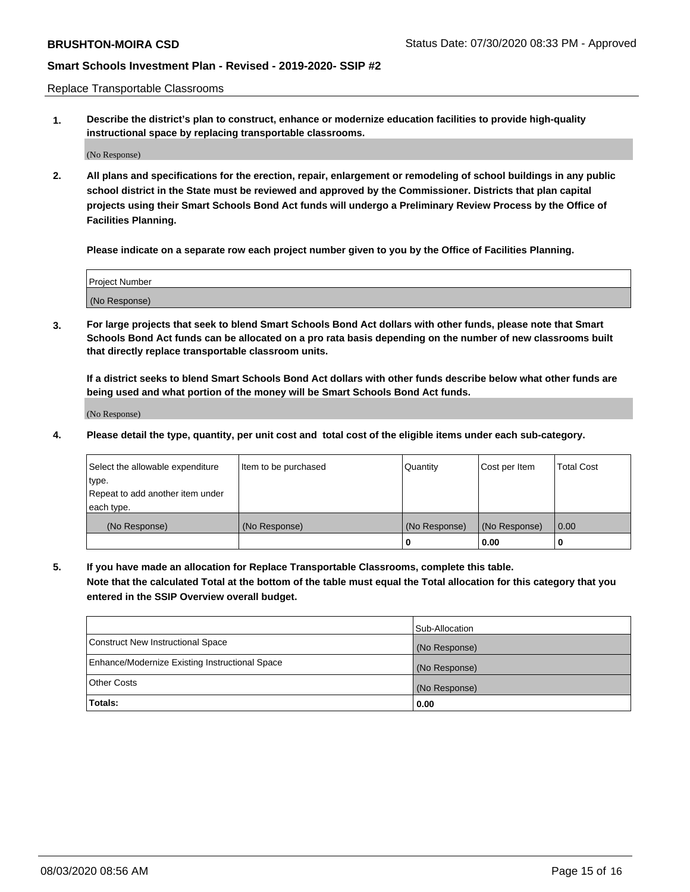Replace Transportable Classrooms

**1. Describe the district's plan to construct, enhance or modernize education facilities to provide high-quality instructional space by replacing transportable classrooms.**

(No Response)

**2. All plans and specifications for the erection, repair, enlargement or remodeling of school buildings in any public school district in the State must be reviewed and approved by the Commissioner. Districts that plan capital projects using their Smart Schools Bond Act funds will undergo a Preliminary Review Process by the Office of Facilities Planning.**

**Please indicate on a separate row each project number given to you by the Office of Facilities Planning.**

| Project Number |  |
|----------------|--|
|                |  |
|                |  |
|                |  |
|                |  |
| (No Response)  |  |
|                |  |
|                |  |
|                |  |

**3. For large projects that seek to blend Smart Schools Bond Act dollars with other funds, please note that Smart Schools Bond Act funds can be allocated on a pro rata basis depending on the number of new classrooms built that directly replace transportable classroom units.**

**If a district seeks to blend Smart Schools Bond Act dollars with other funds describe below what other funds are being used and what portion of the money will be Smart Schools Bond Act funds.**

(No Response)

**4. Please detail the type, quantity, per unit cost and total cost of the eligible items under each sub-category.**

| Select the allowable expenditure | Item to be purchased | Quantity      | Cost per Item | <b>Total Cost</b> |
|----------------------------------|----------------------|---------------|---------------|-------------------|
| ∣type.                           |                      |               |               |                   |
| Repeat to add another item under |                      |               |               |                   |
| each type.                       |                      |               |               |                   |
| (No Response)                    | (No Response)        | (No Response) | (No Response) | 0.00              |
|                                  |                      | 0             | 0.00          |                   |

**5. If you have made an allocation for Replace Transportable Classrooms, complete this table. Note that the calculated Total at the bottom of the table must equal the Total allocation for this category that you entered in the SSIP Overview overall budget.**

|                                                | Sub-Allocation |
|------------------------------------------------|----------------|
| Construct New Instructional Space              | (No Response)  |
| Enhance/Modernize Existing Instructional Space | (No Response)  |
| <b>Other Costs</b>                             | (No Response)  |
| Totals:                                        | 0.00           |